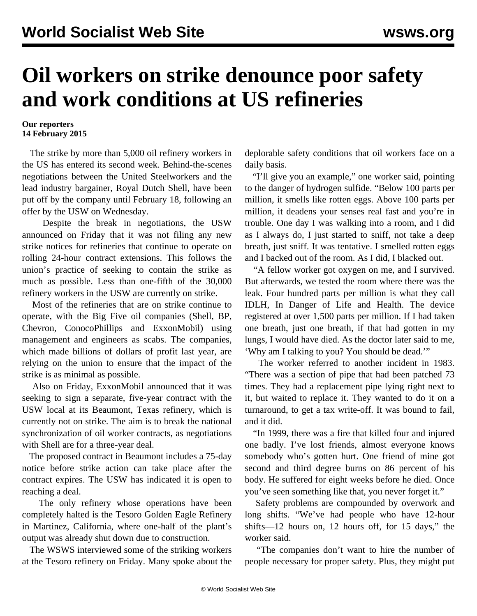## **Oil workers on strike denounce poor safety and work conditions at US refineries**

## **Our reporters 14 February 2015**

 The strike by more than 5,000 oil refinery workers in the US has entered its second week. Behind-the-scenes negotiations between the United Steelworkers and the lead industry bargainer, Royal Dutch Shell, have been put off by the company until February 18, following an offer by the USW on Wednesday.

 Despite the break in negotiations, the USW announced on Friday that it was not filing any new strike notices for refineries that continue to operate on rolling 24-hour contract extensions. This follows the union's practice of seeking to contain the strike as much as possible. Less than one-fifth of the 30,000 refinery workers in the USW are currently on strike.

 Most of the refineries that are on strike continue to operate, with the Big Five oil companies (Shell, BP, Chevron, ConocoPhillips and ExxonMobil) using management and engineers as scabs. The companies, which made billions of dollars of profit last year, are relying on the union to ensure that the impact of the strike is as minimal as possible.

 Also on Friday, ExxonMobil announced that it was seeking to sign a separate, five-year contract with the USW local at its Beaumont, Texas refinery, which is currently not on strike. The aim is to break the national synchronization of oil worker contracts, as negotiations with Shell are for a three-year deal.

 The proposed contract in Beaumont includes a 75-day notice before strike action can take place after the contract expires. The USW has indicated it is open to reaching a deal.

 The only refinery whose operations have been completely halted is the Tesoro Golden Eagle Refinery in Martinez, California, where one-half of the plant's output was already shut down due to construction.

 The WSWS interviewed some of the striking workers at the Tesoro refinery on Friday. Many spoke about the deplorable safety conditions that oil workers face on a daily basis.

 "I'll give you an example," one worker said, pointing to the danger of hydrogen sulfide. "Below 100 parts per million, it smells like rotten eggs. Above 100 parts per million, it deadens your senses real fast and you're in trouble. One day I was walking into a room, and I did as I always do, I just started to sniff, not take a deep breath, just sniff. It was tentative. I smelled rotten eggs and I backed out of the room. As I did, I blacked out.

 "A fellow worker got oxygen on me, and I survived. But afterwards, we tested the room where there was the leak. Four hundred parts per million is what they call IDLH, In Danger of Life and Health. The device registered at over 1,500 parts per million. If I had taken one breath, just one breath, if that had gotten in my lungs, I would have died. As the doctor later said to me, 'Why am I talking to you? You should be dead.'"

 The worker referred to another incident in 1983. "There was a section of pipe that had been patched 73 times. They had a replacement pipe lying right next to it, but waited to replace it. They wanted to do it on a turnaround, to get a tax write-off. It was bound to fail, and it did.

 "In 1999, there was a fire that killed four and injured one badly. I've lost friends, almost everyone knows somebody who's gotten hurt. One friend of mine got second and third degree burns on 86 percent of his body. He suffered for eight weeks before he died. Once you've seen something like that, you never forget it."

 Safety problems are compounded by overwork and long shifts. "We've had people who have 12-hour shifts—12 hours on, 12 hours off, for 15 days," the worker said.

 "The companies don't want to hire the number of people necessary for proper safety. Plus, they might put